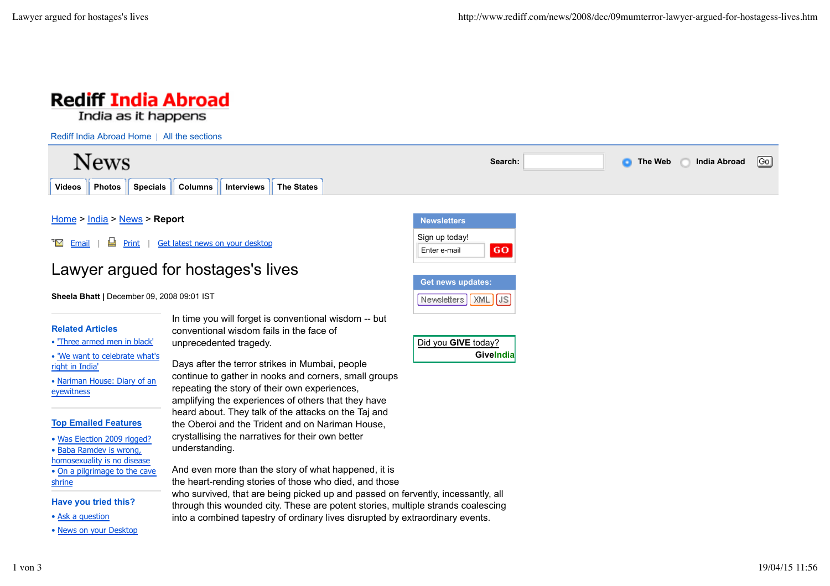